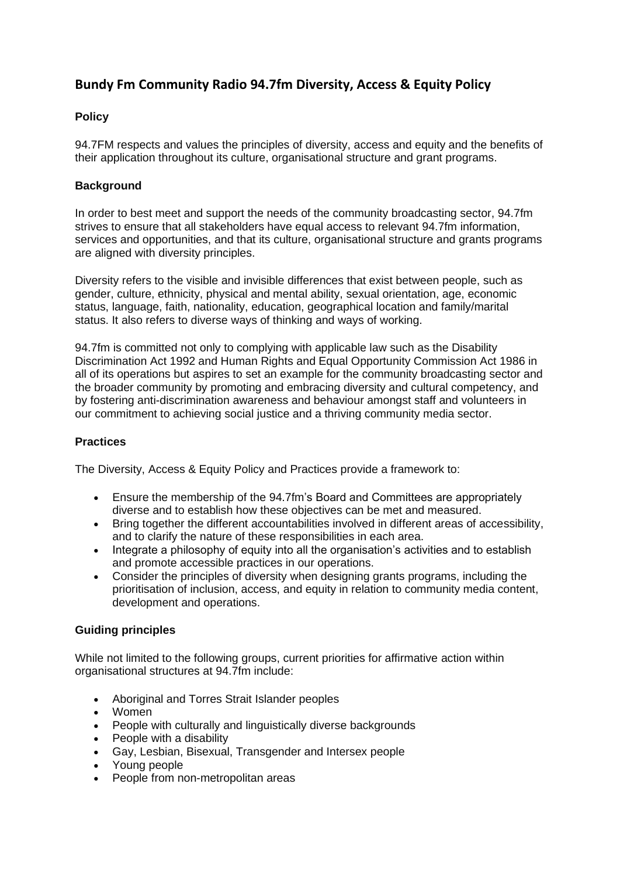# **Bundy Fm Community Radio 94.7fm Diversity, Access & Equity Policy**

# **Policy**

94.7FM respects and values the principles of diversity, access and equity and the benefits of their application throughout its culture, organisational structure and grant programs.

## **Background**

In order to best meet and support the needs of the community broadcasting sector, 94.7fm strives to ensure that all stakeholders have equal access to relevant 94.7fm information, services and opportunities, and that its culture, organisational structure and grants programs are aligned with diversity principles.

Diversity refers to the visible and invisible differences that exist between people, such as gender, culture, ethnicity, physical and mental ability, sexual orientation, age, economic status, language, faith, nationality, education, geographical location and family/marital status. It also refers to diverse ways of thinking and ways of working.

94.7fm is committed not only to complying with applicable law such as the Disability Discrimination Act 1992 and Human Rights and Equal Opportunity Commission Act 1986 in all of its operations but aspires to set an example for the community broadcasting sector and the broader community by promoting and embracing diversity and cultural competency, and by fostering anti-discrimination awareness and behaviour amongst staff and volunteers in our commitment to achieving social justice and a thriving community media sector.

### **Practices**

The Diversity, Access & Equity Policy and Practices provide a framework to:

- Ensure the membership of the 94.7fm's Board and Committees are appropriately diverse and to establish how these objectives can be met and measured.
- Bring together the different accountabilities involved in different areas of accessibility, and to clarify the nature of these responsibilities in each area.
- Integrate a philosophy of equity into all the organisation's activities and to establish and promote accessible practices in our operations.
- Consider the principles of diversity when designing grants programs, including the prioritisation of inclusion, access, and equity in relation to community media content, development and operations.

### **Guiding principles**

While not limited to the following groups, current priorities for affirmative action within organisational structures at 94.7fm include:

- Aboriginal and Torres Strait Islander peoples
- Women
- People with culturally and linguistically diverse backgrounds
- People with a disability
- Gay, Lesbian, Bisexual, Transgender and Intersex people
- Young people
- People from non-metropolitan areas